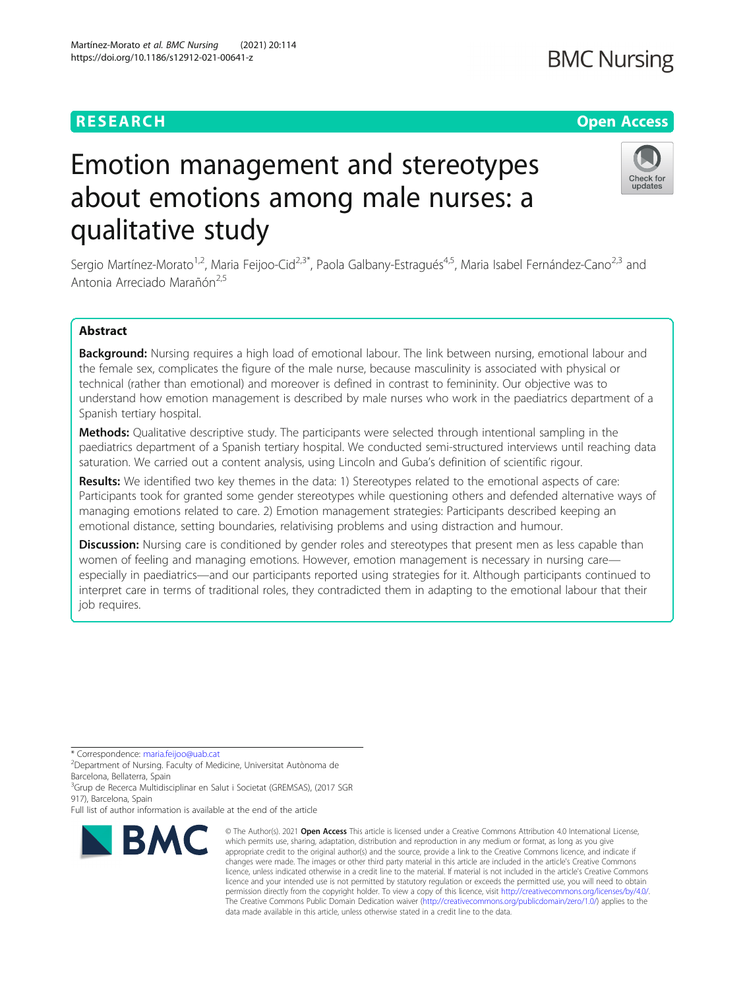# Emotion management and stereotypes about emotions among male nurses: a qualitative study

Sergio Martínez-Morato<sup>1,2</sup>, Maria Feijoo-Cid<sup>2,3\*</sup>, Paola Galbany-Estragués<sup>4,5</sup>, Maria Isabel Fernández-Cano<sup>2,3</sup> and Antonia Arreciado Marañón<sup>2,5</sup>

# Abstract

Background: Nursing requires a high load of emotional labour. The link between nursing, emotional labour and the female sex, complicates the figure of the male nurse, because masculinity is associated with physical or technical (rather than emotional) and moreover is defined in contrast to femininity. Our objective was to understand how emotion management is described by male nurses who work in the paediatrics department of a Spanish tertiary hospital.

Methods: Qualitative descriptive study. The participants were selected through intentional sampling in the paediatrics department of a Spanish tertiary hospital. We conducted semi-structured interviews until reaching data saturation. We carried out a content analysis, using Lincoln and Guba's definition of scientific rigour.

Results: We identified two key themes in the data: 1) Stereotypes related to the emotional aspects of care: Participants took for granted some gender stereotypes while questioning others and defended alternative ways of managing emotions related to care. 2) Emotion management strategies: Participants described keeping an emotional distance, setting boundaries, relativising problems and using distraction and humour.

Discussion: Nursing care is conditioned by gender roles and stereotypes that present men as less capable than women of feeling and managing emotions. However, emotion management is necessary in nursing care especially in paediatrics—and our participants reported using strategies for it. Although participants continued to interpret care in terms of traditional roles, they contradicted them in adapting to the emotional labour that their job requires.

\* Correspondence: [maria.feijoo@uab.cat](mailto:maria.feijoo@uab.cat) <sup>2</sup>

Department of Nursing. Faculty of Medicine, Universitat Autònoma de Barcelona, Bellaterra, Spain

<sup>3</sup>Grup de Recerca Multidisciplinar en Salut i Societat (GREMSAS), (2017 SGR 917), Barcelona, Spain

Full list of author information is available at the end of the article

**BMC** 

© The Author(s), 2021 **Open Access** This article is licensed under a Creative Commons Attribution 4.0 International License, which permits use, sharing, adaptation, distribution and reproduction in any medium or format, as long as you give

The Creative Commons Public Domain Dedication waiver [\(http://creativecommons.org/publicdomain/zero/1.0/](http://creativecommons.org/publicdomain/zero/1.0/)) applies to the

data made available in this article, unless otherwise stated in a credit line to the data.



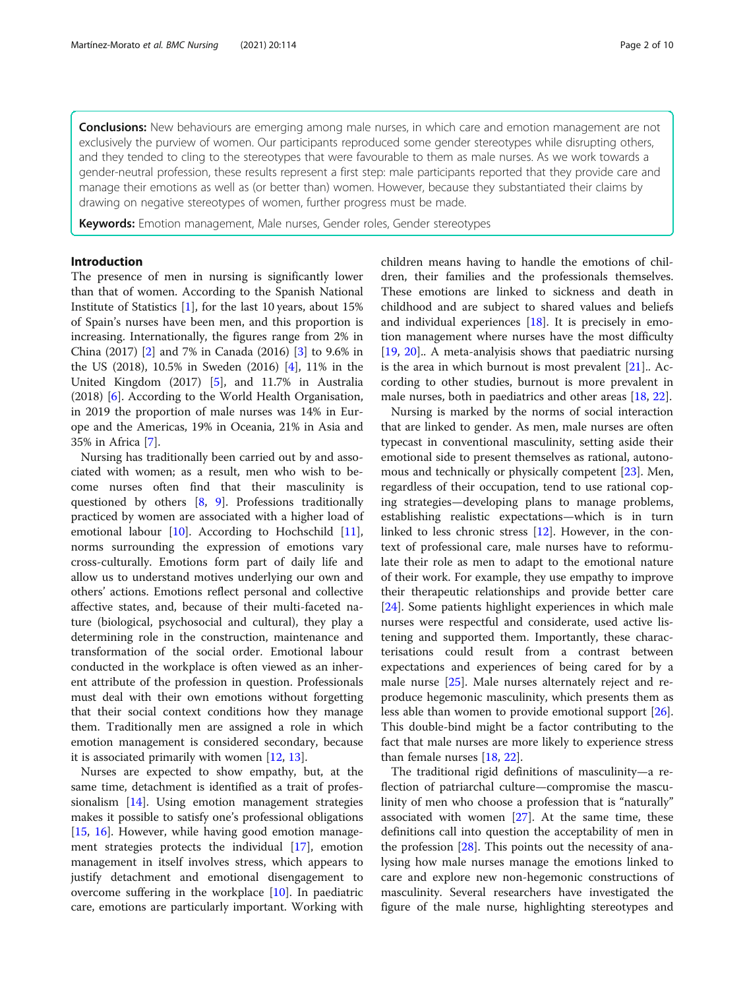**Conclusions:** New behaviours are emerging among male nurses, in which care and emotion management are not exclusively the purview of women. Our participants reproduced some gender stereotypes while disrupting others, and they tended to cling to the stereotypes that were favourable to them as male nurses. As we work towards a gender-neutral profession, these results represent a first step: male participants reported that they provide care and manage their emotions as well as (or better than) women. However, because they substantiated their claims by drawing on negative stereotypes of women, further progress must be made.

Keywords: Emotion management, Male nurses, Gender roles, Gender stereotypes

# Introduction

The presence of men in nursing is significantly lower than that of women. According to the Spanish National Institute of Statistics [[1\]](#page-8-0), for the last 10 years, about 15% of Spain's nurses have been men, and this proportion is increasing. Internationally, the figures range from 2% in China (2017) [[2](#page-8-0)] and 7% in Canada (2016) [[3\]](#page-8-0) to 9.6% in the US (2018), 10.5% in Sweden (2016) [[4](#page-8-0)], 11% in the United Kingdom (2017) [[5\]](#page-8-0), and 11.7% in Australia (2018) [[6\]](#page-8-0). According to the World Health Organisation, in 2019 the proportion of male nurses was 14% in Europe and the Americas, 19% in Oceania, 21% in Asia and 35% in Africa [\[7](#page-8-0)].

Nursing has traditionally been carried out by and associated with women; as a result, men who wish to become nurses often find that their masculinity is questioned by others [[8,](#page-8-0) [9](#page-8-0)]. Professions traditionally practiced by women are associated with a higher load of emotional labour [\[10\]](#page-8-0). According to Hochschild [\[11](#page-8-0)], norms surrounding the expression of emotions vary cross-culturally. Emotions form part of daily life and allow us to understand motives underlying our own and others' actions. Emotions reflect personal and collective affective states, and, because of their multi-faceted nature (biological, psychosocial and cultural), they play a determining role in the construction, maintenance and transformation of the social order. Emotional labour conducted in the workplace is often viewed as an inherent attribute of the profession in question. Professionals must deal with their own emotions without forgetting that their social context conditions how they manage them. Traditionally men are assigned a role in which emotion management is considered secondary, because it is associated primarily with women [[12,](#page-8-0) [13\]](#page-8-0).

Nurses are expected to show empathy, but, at the same time, detachment is identified as a trait of professionalism [[14\]](#page-8-0). Using emotion management strategies makes it possible to satisfy one's professional obligations [[15,](#page-8-0) [16\]](#page-8-0). However, while having good emotion management strategies protects the individual [\[17](#page-8-0)], emotion management in itself involves stress, which appears to justify detachment and emotional disengagement to overcome suffering in the workplace [\[10](#page-8-0)]. In paediatric care, emotions are particularly important. Working with children means having to handle the emotions of children, their families and the professionals themselves. These emotions are linked to sickness and death in childhood and are subject to shared values and beliefs and individual experiences [[18\]](#page-9-0). It is precisely in emotion management where nurses have the most difficulty [[19,](#page-9-0) [20](#page-9-0)].. A meta-analyisis shows that paediatric nursing is the area in which burnout is most prevalent  $[21]$ .. According to other studies, burnout is more prevalent in male nurses, both in paediatrics and other areas [\[18](#page-9-0), [22](#page-9-0)].

Nursing is marked by the norms of social interaction that are linked to gender. As men, male nurses are often typecast in conventional masculinity, setting aside their emotional side to present themselves as rational, autonomous and technically or physically competent [\[23](#page-9-0)]. Men, regardless of their occupation, tend to use rational coping strategies—developing plans to manage problems, establishing realistic expectations—which is in turn linked to less chronic stress [\[12](#page-8-0)]. However, in the context of professional care, male nurses have to reformulate their role as men to adapt to the emotional nature of their work. For example, they use empathy to improve their therapeutic relationships and provide better care [[24\]](#page-9-0). Some patients highlight experiences in which male nurses were respectful and considerate, used active listening and supported them. Importantly, these characterisations could result from a contrast between expectations and experiences of being cared for by a male nurse [[25\]](#page-9-0). Male nurses alternately reject and reproduce hegemonic masculinity, which presents them as less able than women to provide emotional support [\[26](#page-9-0)]. This double-bind might be a factor contributing to the fact that male nurses are more likely to experience stress than female nurses [\[18,](#page-9-0) [22\]](#page-9-0).

The traditional rigid definitions of masculinity—a reflection of patriarchal culture—compromise the masculinity of men who choose a profession that is "naturally" associated with women  $[27]$  $[27]$ . At the same time, these definitions call into question the acceptability of men in the profession [\[28\]](#page-9-0). This points out the necessity of analysing how male nurses manage the emotions linked to care and explore new non-hegemonic constructions of masculinity. Several researchers have investigated the figure of the male nurse, highlighting stereotypes and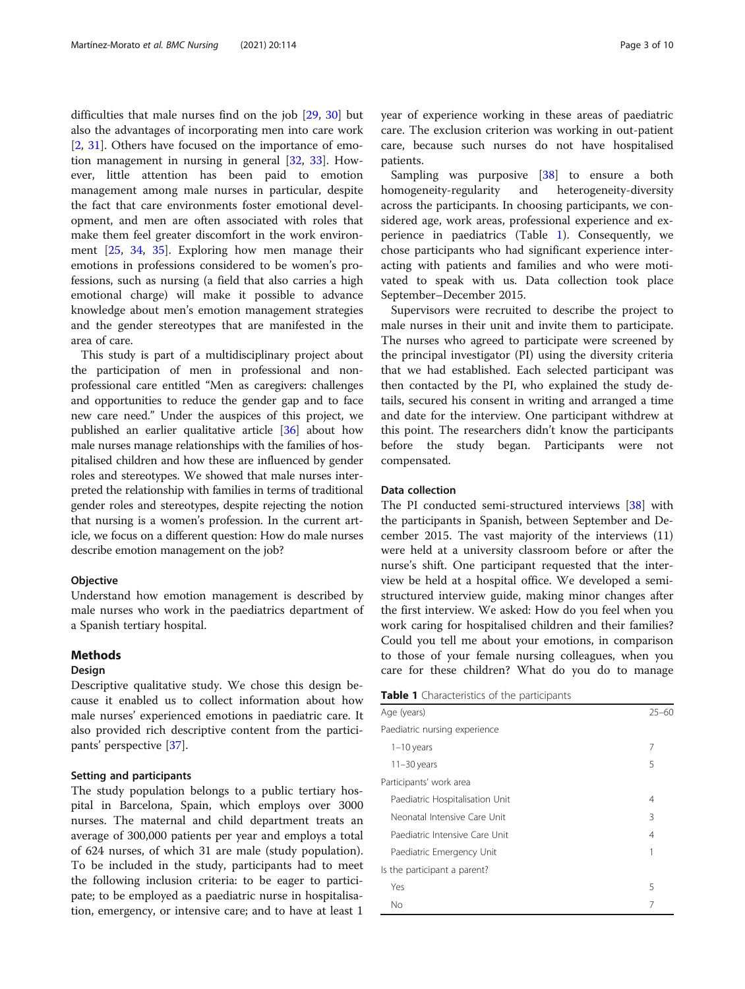<span id="page-2-0"></span>difficulties that male nurses find on the job [[29,](#page-9-0) [30](#page-9-0)] but also the advantages of incorporating men into care work [[2,](#page-8-0) [31](#page-9-0)]. Others have focused on the importance of emotion management in nursing in general [[32](#page-9-0), [33\]](#page-9-0). However, little attention has been paid to emotion management among male nurses in particular, despite the fact that care environments foster emotional development, and men are often associated with roles that make them feel greater discomfort in the work environment [[25](#page-9-0), [34](#page-9-0), [35\]](#page-9-0). Exploring how men manage their emotions in professions considered to be women's professions, such as nursing (a field that also carries a high emotional charge) will make it possible to advance knowledge about men's emotion management strategies and the gender stereotypes that are manifested in the area of care.

This study is part of a multidisciplinary project about the participation of men in professional and nonprofessional care entitled "Men as caregivers: challenges and opportunities to reduce the gender gap and to face new care need." Under the auspices of this project, we published an earlier qualitative article [[36\]](#page-9-0) about how male nurses manage relationships with the families of hospitalised children and how these are influenced by gender roles and stereotypes. We showed that male nurses interpreted the relationship with families in terms of traditional gender roles and stereotypes, despite rejecting the notion that nursing is a women's profession. In the current article, we focus on a different question: How do male nurses describe emotion management on the job?

#### Objective

Understand how emotion management is described by male nurses who work in the paediatrics department of a Spanish tertiary hospital.

### Methods

### Design

Descriptive qualitative study. We chose this design because it enabled us to collect information about how male nurses' experienced emotions in paediatric care. It also provided rich descriptive content from the participants' perspective [\[37](#page-9-0)].

#### Setting and participants

The study population belongs to a public tertiary hospital in Barcelona, Spain, which employs over 3000 nurses. The maternal and child department treats an average of 300,000 patients per year and employs a total of 624 nurses, of which 31 are male (study population). To be included in the study, participants had to meet the following inclusion criteria: to be eager to participate; to be employed as a paediatric nurse in hospitalisation, emergency, or intensive care; and to have at least 1

year of experience working in these areas of paediatric care. The exclusion criterion was working in out-patient care, because such nurses do not have hospitalised patients.

Sampling was purposive [[38\]](#page-9-0) to ensure a both homogeneity-regularity and heterogeneity-diversity across the participants. In choosing participants, we considered age, work areas, professional experience and experience in paediatrics (Table 1). Consequently, we chose participants who had significant experience interacting with patients and families and who were motivated to speak with us. Data collection took place September–December 2015.

Supervisors were recruited to describe the project to male nurses in their unit and invite them to participate. The nurses who agreed to participate were screened by the principal investigator (PI) using the diversity criteria that we had established. Each selected participant was then contacted by the PI, who explained the study details, secured his consent in writing and arranged a time and date for the interview. One participant withdrew at this point. The researchers didn't know the participants before the study began. Participants were not compensated.

#### Data collection

The PI conducted semi-structured interviews [\[38](#page-9-0)] with the participants in Spanish, between September and December 2015. The vast majority of the interviews (11) were held at a university classroom before or after the nurse's shift. One participant requested that the interview be held at a hospital office. We developed a semistructured interview guide, making minor changes after the first interview. We asked: How do you feel when you work caring for hospitalised children and their families? Could you tell me about your emotions, in comparison to those of your female nursing colleagues, when you care for these children? What do you do to manage

|  | Table 1 Characteristics of the participants |  |  |
|--|---------------------------------------------|--|--|
|--|---------------------------------------------|--|--|

| Age (years)                     | $25 - 60$ |  |  |
|---------------------------------|-----------|--|--|
| Paediatric nursing experience   |           |  |  |
| $1-10$ years                    | 7         |  |  |
| $11-30$ years                   | 5         |  |  |
| Participants' work area         |           |  |  |
| Paediatric Hospitalisation Unit | 4         |  |  |
| Neonatal Intensive Care Unit    | 3         |  |  |
| Paediatric Intensive Care Unit  | 4         |  |  |
| Paediatric Emergency Unit       |           |  |  |
| Is the participant a parent?    |           |  |  |
| Yes                             | 5         |  |  |
| No                              | 7         |  |  |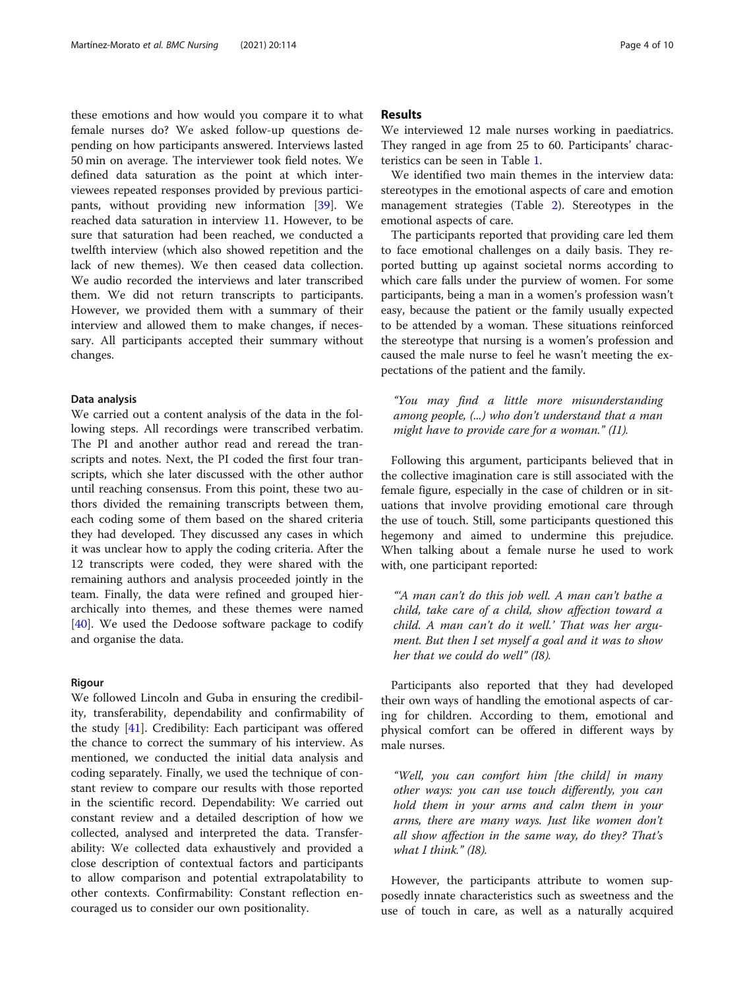these emotions and how would you compare it to what female nurses do? We asked follow-up questions depending on how participants answered. Interviews lasted 50 min on average. The interviewer took field notes. We defined data saturation as the point at which interviewees repeated responses provided by previous participants, without providing new information [\[39](#page-9-0)]. We reached data saturation in interview 11. However, to be sure that saturation had been reached, we conducted a twelfth interview (which also showed repetition and the lack of new themes). We then ceased data collection. We audio recorded the interviews and later transcribed them. We did not return transcripts to participants. However, we provided them with a summary of their interview and allowed them to make changes, if necessary. All participants accepted their summary without changes.

# Data analysis

We carried out a content analysis of the data in the following steps. All recordings were transcribed verbatim. The PI and another author read and reread the transcripts and notes. Next, the PI coded the first four transcripts, which she later discussed with the other author until reaching consensus. From this point, these two authors divided the remaining transcripts between them, each coding some of them based on the shared criteria they had developed. They discussed any cases in which it was unclear how to apply the coding criteria. After the 12 transcripts were coded, they were shared with the remaining authors and analysis proceeded jointly in the team. Finally, the data were refined and grouped hierarchically into themes, and these themes were named [[40\]](#page-9-0). We used the Dedoose software package to codify and organise the data.

#### Rigour

We followed Lincoln and Guba in ensuring the credibility, transferability, dependability and confirmability of the study [[41\]](#page-9-0). Credibility: Each participant was offered the chance to correct the summary of his interview. As mentioned, we conducted the initial data analysis and coding separately. Finally, we used the technique of constant review to compare our results with those reported in the scientific record. Dependability: We carried out constant review and a detailed description of how we collected, analysed and interpreted the data. Transferability: We collected data exhaustively and provided a close description of contextual factors and participants to allow comparison and potential extrapolatability to other contexts. Confirmability: Constant reflection encouraged us to consider our own positionality.

# Results

We interviewed 12 male nurses working in paediatrics. They ranged in age from 25 to 60. Participants' characteristics can be seen in Table [1](#page-2-0).

We identified two main themes in the interview data: stereotypes in the emotional aspects of care and emotion management strategies (Table [2](#page-4-0)). Stereotypes in the emotional aspects of care.

The participants reported that providing care led them to face emotional challenges on a daily basis. They reported butting up against societal norms according to which care falls under the purview of women. For some participants, being a man in a women's profession wasn't easy, because the patient or the family usually expected to be attended by a woman. These situations reinforced the stereotype that nursing is a women's profession and caused the male nurse to feel he wasn't meeting the expectations of the patient and the family.

"You may find a little more misunderstanding among people, (...) who don't understand that a man might have to provide care for a woman." (I1).

Following this argument, participants believed that in the collective imagination care is still associated with the female figure, especially in the case of children or in situations that involve providing emotional care through the use of touch. Still, some participants questioned this hegemony and aimed to undermine this prejudice. When talking about a female nurse he used to work with, one participant reported:

"'A man can't do this job well. A man can't bathe a child, take care of a child, show affection toward a child. A man can't do it well.' That was her argument. But then I set myself a goal and it was to show her that we could do well" (I8).

Participants also reported that they had developed their own ways of handling the emotional aspects of caring for children. According to them, emotional and physical comfort can be offered in different ways by male nurses.

"Well, you can comfort him [the child] in many other ways: you can use touch differently, you can hold them in your arms and calm them in your arms, there are many ways. Just like women don't all show affection in the same way, do they? That's what I think." (I8).

However, the participants attribute to women supposedly innate characteristics such as sweetness and the use of touch in care, as well as a naturally acquired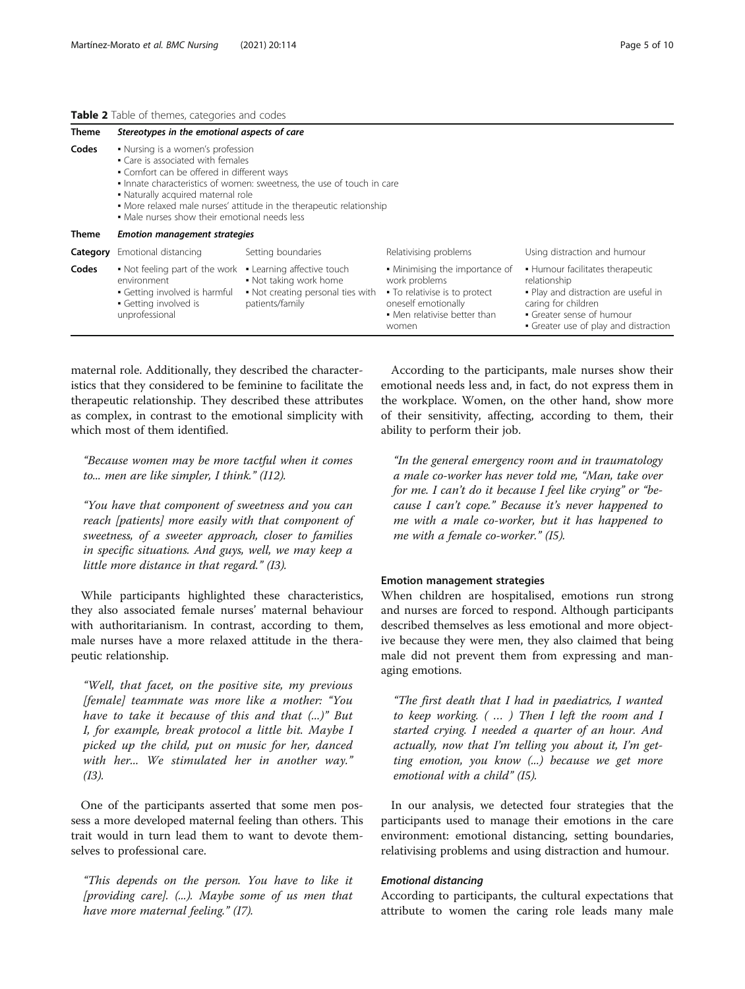#### <span id="page-4-0"></span>Table 2 Table of themes, categories and codes

| <b>Theme</b> | Stereotypes in the emotional aspects of care                                                                                                                                                                                                                                                                                                                  |                                                                                                              |                                                                                                                                                  |                                                                                                                                                                                       |  |  |  |
|--------------|---------------------------------------------------------------------------------------------------------------------------------------------------------------------------------------------------------------------------------------------------------------------------------------------------------------------------------------------------------------|--------------------------------------------------------------------------------------------------------------|--------------------------------------------------------------------------------------------------------------------------------------------------|---------------------------------------------------------------------------------------------------------------------------------------------------------------------------------------|--|--|--|
| Codes        | • Nursing is a women's profession<br>• Care is associated with females<br>• Comfort can be offered in different ways<br>. Innate characteristics of women: sweetness, the use of touch in care<br>• Naturally acquired maternal role<br>• More relaxed male nurses' attitude in the therapeutic relationship<br>• Male nurses show their emotional needs less |                                                                                                              |                                                                                                                                                  |                                                                                                                                                                                       |  |  |  |
| Theme        | <b>Emotion management strategies</b>                                                                                                                                                                                                                                                                                                                          |                                                                                                              |                                                                                                                                                  |                                                                                                                                                                                       |  |  |  |
| Category     | Emotional distancing                                                                                                                                                                                                                                                                                                                                          | Setting boundaries                                                                                           | Relativising problems                                                                                                                            | Using distraction and humour                                                                                                                                                          |  |  |  |
| Codes        | • Not feeling part of the work<br>environment<br>• Getting involved is harmful<br>• Getting involved is<br>unprofessional                                                                                                                                                                                                                                     | • Learning affective touch<br>. Not taking work home<br>• Not creating personal ties with<br>patients/family | • Minimising the importance of<br>work problems<br>• To relativise is to protect<br>oneself emotionally<br>• Men relativise better than<br>women | • Humour facilitates therapeutic<br>relationship<br>. Play and distraction are useful in<br>caring for children<br>• Greater sense of humour<br>• Greater use of play and distraction |  |  |  |

maternal role. Additionally, they described the characteristics that they considered to be feminine to facilitate the therapeutic relationship. They described these attributes as complex, in contrast to the emotional simplicity with which most of them identified.

"Because women may be more tactful when it comes to... men are like simpler, I think." (I12).

"You have that component of sweetness and you can reach [patients] more easily with that component of sweetness, of a sweeter approach, closer to families in specific situations. And guys, well, we may keep a little more distance in that regard." (I3).

While participants highlighted these characteristics, they also associated female nurses' maternal behaviour with authoritarianism. In contrast, according to them, male nurses have a more relaxed attitude in the therapeutic relationship.

"Well, that facet, on the positive site, my previous [female] teammate was more like a mother: "You have to take it because of this and that (...)" But I, for example, break protocol a little bit. Maybe I picked up the child, put on music for her, danced with her... We stimulated her in another way." (I3).

One of the participants asserted that some men possess a more developed maternal feeling than others. This trait would in turn lead them to want to devote themselves to professional care.

"This depends on the person. You have to like it [providing care]. (...). Maybe some of us men that have more maternal feeling." (I7).

According to the participants, male nurses show their emotional needs less and, in fact, do not express them in the workplace. Women, on the other hand, show more of their sensitivity, affecting, according to them, their ability to perform their job.

"In the general emergency room and in traumatology a male co-worker has never told me, "Man, take over for me. I can't do it because I feel like crying" or "because I can't cope." Because it's never happened to me with a male co-worker, but it has happened to me with a female co-worker." (I5).

#### Emotion management strategies

When children are hospitalised, emotions run strong and nurses are forced to respond. Although participants described themselves as less emotional and more objective because they were men, they also claimed that being male did not prevent them from expressing and managing emotions.

"The first death that I had in paediatrics, I wanted to keep working. ( … ) Then I left the room and I started crying. I needed a quarter of an hour. And actually, now that I'm telling you about it, I'm getting emotion, you know (...) because we get more emotional with a child" (I5).

In our analysis, we detected four strategies that the participants used to manage their emotions in the care environment: emotional distancing, setting boundaries, relativising problems and using distraction and humour.

## Emotional distancing

According to participants, the cultural expectations that attribute to women the caring role leads many male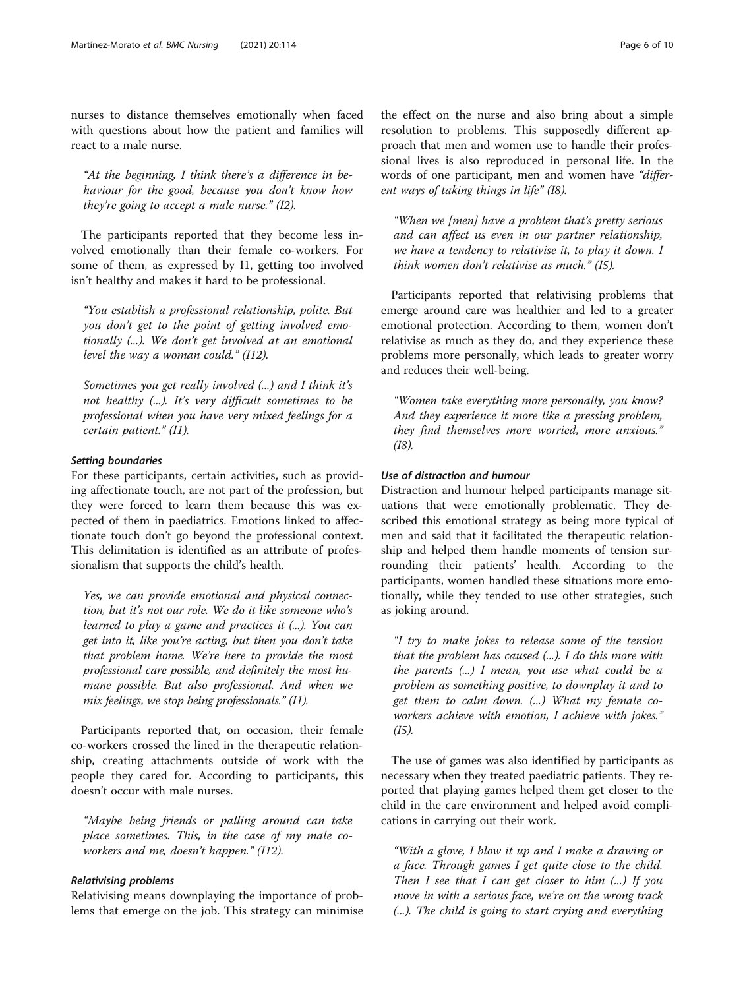nurses to distance themselves emotionally when faced with questions about how the patient and families will react to a male nurse.

"At the beginning, I think there's a difference in behaviour for the good, because you don't know how they're going to accept a male nurse." (I2).

The participants reported that they become less involved emotionally than their female co-workers. For some of them, as expressed by I1, getting too involved isn't healthy and makes it hard to be professional.

"You establish a professional relationship, polite. But you don't get to the point of getting involved emotionally (...). We don't get involved at an emotional level the way a woman could."  $(112)$ .

Sometimes you get really involved (...) and I think it's not healthy (...). It's very difficult sometimes to be professional when you have very mixed feelings for a certain patient." (I1).

#### Setting boundaries

For these participants, certain activities, such as providing affectionate touch, are not part of the profession, but they were forced to learn them because this was expected of them in paediatrics. Emotions linked to affectionate touch don't go beyond the professional context. This delimitation is identified as an attribute of professionalism that supports the child's health.

Yes, we can provide emotional and physical connection, but it's not our role. We do it like someone who's learned to play a game and practices it (...). You can get into it, like you're acting, but then you don't take that problem home. We're here to provide the most professional care possible, and definitely the most humane possible. But also professional. And when we mix feelings, we stop being professionals." (I1).

Participants reported that, on occasion, their female co-workers crossed the lined in the therapeutic relationship, creating attachments outside of work with the people they cared for. According to participants, this doesn't occur with male nurses.

"Maybe being friends or palling around can take place sometimes. This, in the case of my male coworkers and me, doesn't happen." (I12).

# Relativising problems

Relativising means downplaying the importance of problems that emerge on the job. This strategy can minimise the effect on the nurse and also bring about a simple resolution to problems. This supposedly different approach that men and women use to handle their professional lives is also reproduced in personal life. In the words of one participant, men and women have "different ways of taking things in life" (I8).

"When we [men] have a problem that's pretty serious and can affect us even in our partner relationship, we have a tendency to relativise it, to play it down. I think women don't relativise as much." (I5).

Participants reported that relativising problems that emerge around care was healthier and led to a greater emotional protection. According to them, women don't relativise as much as they do, and they experience these problems more personally, which leads to greater worry and reduces their well-being.

"Women take everything more personally, you know? And they experience it more like a pressing problem, they find themselves more worried, more anxious." (I8).

# Use of distraction and humour

Distraction and humour helped participants manage situations that were emotionally problematic. They described this emotional strategy as being more typical of men and said that it facilitated the therapeutic relationship and helped them handle moments of tension surrounding their patients' health. According to the participants, women handled these situations more emotionally, while they tended to use other strategies, such as joking around.

"I try to make jokes to release some of the tension that the problem has caused  $(...)$ . I do this more with the parents  $(...)$  I mean, you use what could be a problem as something positive, to downplay it and to get them to calm down. (...) What my female coworkers achieve with emotion, I achieve with jokes." (I5).

The use of games was also identified by participants as necessary when they treated paediatric patients. They reported that playing games helped them get closer to the child in the care environment and helped avoid complications in carrying out their work.

"With a glove, I blow it up and I make a drawing or a face. Through games I get quite close to the child. Then I see that I can get closer to him  $(...)$  If you move in with a serious face, we're on the wrong track (...). The child is going to start crying and everything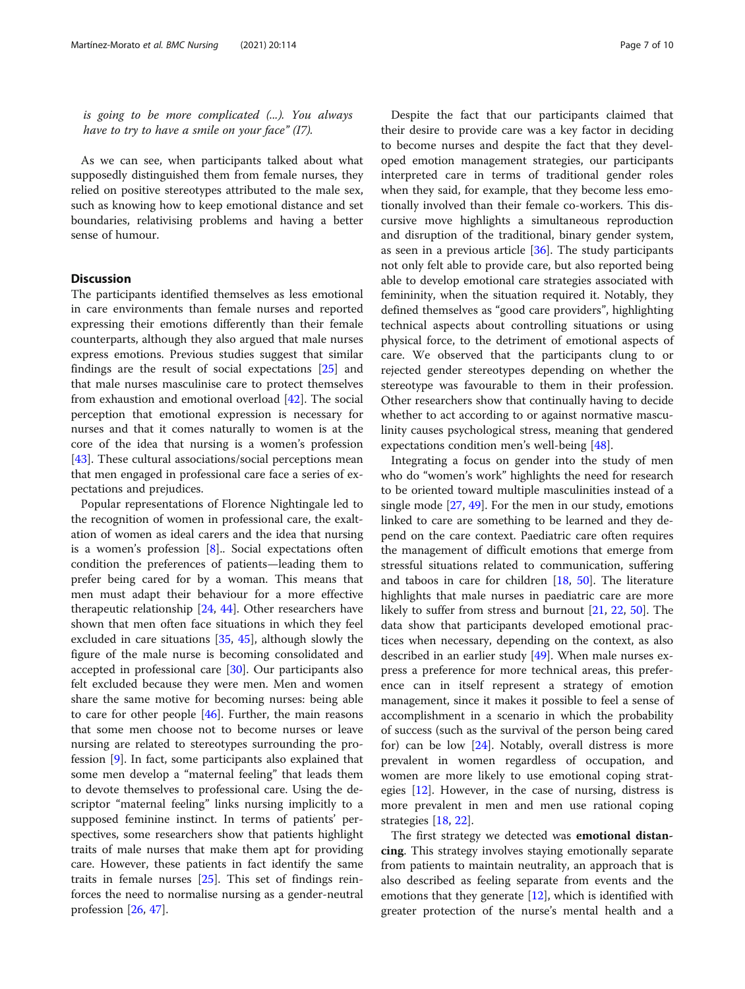is going to be more complicated (...). You always have to try to have a smile on your face"  $(I7)$ .

As we can see, when participants talked about what supposedly distinguished them from female nurses, they relied on positive stereotypes attributed to the male sex, such as knowing how to keep emotional distance and set boundaries, relativising problems and having a better sense of humour.

# **Discussion**

The participants identified themselves as less emotional in care environments than female nurses and reported expressing their emotions differently than their female counterparts, although they also argued that male nurses express emotions. Previous studies suggest that similar findings are the result of social expectations [\[25](#page-9-0)] and that male nurses masculinise care to protect themselves from exhaustion and emotional overload [\[42](#page-9-0)]. The social perception that emotional expression is necessary for nurses and that it comes naturally to women is at the core of the idea that nursing is a women's profession [[43\]](#page-9-0). These cultural associations/social perceptions mean that men engaged in professional care face a series of expectations and prejudices.

Popular representations of Florence Nightingale led to the recognition of women in professional care, the exaltation of women as ideal carers and the idea that nursing is a women's profession  $[8]$  $[8]$ . Social expectations often condition the preferences of patients—leading them to prefer being cared for by a woman. This means that men must adapt their behaviour for a more effective therapeutic relationship [[24,](#page-9-0) [44](#page-9-0)]. Other researchers have shown that men often face situations in which they feel excluded in care situations [[35,](#page-9-0) [45](#page-9-0)], although slowly the figure of the male nurse is becoming consolidated and accepted in professional care [[30\]](#page-9-0). Our participants also felt excluded because they were men. Men and women share the same motive for becoming nurses: being able to care for other people [[46\]](#page-9-0). Further, the main reasons that some men choose not to become nurses or leave nursing are related to stereotypes surrounding the profession [\[9](#page-8-0)]. In fact, some participants also explained that some men develop a "maternal feeling" that leads them to devote themselves to professional care. Using the descriptor "maternal feeling" links nursing implicitly to a supposed feminine instinct. In terms of patients' perspectives, some researchers show that patients highlight traits of male nurses that make them apt for providing care. However, these patients in fact identify the same traits in female nurses [\[25](#page-9-0)]. This set of findings reinforces the need to normalise nursing as a gender-neutral profession [[26,](#page-9-0) [47](#page-9-0)].

Despite the fact that our participants claimed that their desire to provide care was a key factor in deciding to become nurses and despite the fact that they developed emotion management strategies, our participants interpreted care in terms of traditional gender roles when they said, for example, that they become less emotionally involved than their female co-workers. This discursive move highlights a simultaneous reproduction and disruption of the traditional, binary gender system, as seen in a previous article [[36\]](#page-9-0). The study participants not only felt able to provide care, but also reported being able to develop emotional care strategies associated with femininity, when the situation required it. Notably, they defined themselves as "good care providers", highlighting technical aspects about controlling situations or using physical force, to the detriment of emotional aspects of care. We observed that the participants clung to or rejected gender stereotypes depending on whether the stereotype was favourable to them in their profession. Other researchers show that continually having to decide whether to act according to or against normative masculinity causes psychological stress, meaning that gendered expectations condition men's well-being [\[48](#page-9-0)].

Integrating a focus on gender into the study of men who do "women's work" highlights the need for research to be oriented toward multiple masculinities instead of a single mode  $[27, 49]$  $[27, 49]$  $[27, 49]$  $[27, 49]$ . For the men in our study, emotions linked to care are something to be learned and they depend on the care context. Paediatric care often requires the management of difficult emotions that emerge from stressful situations related to communication, suffering and taboos in care for children [\[18,](#page-9-0) [50](#page-9-0)]. The literature highlights that male nurses in paediatric care are more likely to suffer from stress and burnout [[21](#page-9-0), [22,](#page-9-0) [50\]](#page-9-0). The data show that participants developed emotional practices when necessary, depending on the context, as also described in an earlier study [\[49](#page-9-0)]. When male nurses express a preference for more technical areas, this preference can in itself represent a strategy of emotion management, since it makes it possible to feel a sense of accomplishment in a scenario in which the probability of success (such as the survival of the person being cared for) can be low [[24\]](#page-9-0). Notably, overall distress is more prevalent in women regardless of occupation, and women are more likely to use emotional coping strategies [\[12](#page-8-0)]. However, in the case of nursing, distress is more prevalent in men and men use rational coping strategies [[18,](#page-9-0) [22\]](#page-9-0).

The first strategy we detected was emotional distancing. This strategy involves staying emotionally separate from patients to maintain neutrality, an approach that is also described as feeling separate from events and the emotions that they generate [[12\]](#page-8-0), which is identified with greater protection of the nurse's mental health and a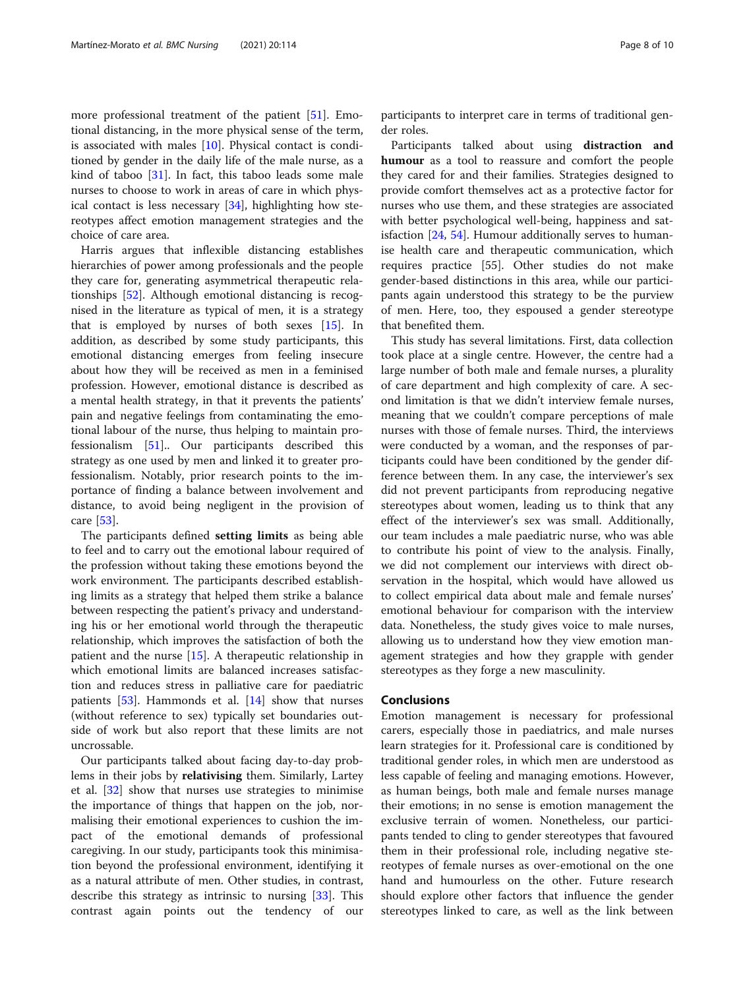more professional treatment of the patient [\[51](#page-9-0)]. Emotional distancing, in the more physical sense of the term, is associated with males  $[10]$  $[10]$ . Physical contact is conditioned by gender in the daily life of the male nurse, as a kind of taboo [\[31](#page-9-0)]. In fact, this taboo leads some male nurses to choose to work in areas of care in which physical contact is less necessary [[34\]](#page-9-0), highlighting how stereotypes affect emotion management strategies and the choice of care area.

Harris argues that inflexible distancing establishes hierarchies of power among professionals and the people they care for, generating asymmetrical therapeutic relationships [\[52\]](#page-9-0). Although emotional distancing is recognised in the literature as typical of men, it is a strategy that is employed by nurses of both sexes  $[15]$  $[15]$ . In addition, as described by some study participants, this emotional distancing emerges from feeling insecure about how they will be received as men in a feminised profession. However, emotional distance is described as a mental health strategy, in that it prevents the patients' pain and negative feelings from contaminating the emotional labour of the nurse, thus helping to maintain professionalism [\[51](#page-9-0)].. Our participants described this strategy as one used by men and linked it to greater professionalism. Notably, prior research points to the importance of finding a balance between involvement and distance, to avoid being negligent in the provision of care [[53\]](#page-9-0).

The participants defined setting limits as being able to feel and to carry out the emotional labour required of the profession without taking these emotions beyond the work environment. The participants described establishing limits as a strategy that helped them strike a balance between respecting the patient's privacy and understanding his or her emotional world through the therapeutic relationship, which improves the satisfaction of both the patient and the nurse [[15](#page-8-0)]. A therapeutic relationship in which emotional limits are balanced increases satisfaction and reduces stress in palliative care for paediatric patients  $[53]$  $[53]$ . Hammonds et al.  $[14]$  $[14]$  show that nurses (without reference to sex) typically set boundaries outside of work but also report that these limits are not uncrossable.

Our participants talked about facing day-to-day problems in their jobs by relativising them. Similarly, Lartey et al. [\[32](#page-9-0)] show that nurses use strategies to minimise the importance of things that happen on the job, normalising their emotional experiences to cushion the impact of the emotional demands of professional caregiving. In our study, participants took this minimisation beyond the professional environment, identifying it as a natural attribute of men. Other studies, in contrast, describe this strategy as intrinsic to nursing [[33](#page-9-0)]. This contrast again points out the tendency of our participants to interpret care in terms of traditional gender roles.

Participants talked about using distraction and humour as a tool to reassure and comfort the people they cared for and their families. Strategies designed to provide comfort themselves act as a protective factor for nurses who use them, and these strategies are associated with better psychological well-being, happiness and satisfaction [\[24](#page-9-0), [54](#page-9-0)]. Humour additionally serves to humanise health care and therapeutic communication, which requires practice [55]. Other studies do not make gender-based distinctions in this area, while our participants again understood this strategy to be the purview of men. Here, too, they espoused a gender stereotype that benefited them.

This study has several limitations. First, data collection took place at a single centre. However, the centre had a large number of both male and female nurses, a plurality of care department and high complexity of care. A second limitation is that we didn't interview female nurses, meaning that we couldn't compare perceptions of male nurses with those of female nurses. Third, the interviews were conducted by a woman, and the responses of participants could have been conditioned by the gender difference between them. In any case, the interviewer's sex did not prevent participants from reproducing negative stereotypes about women, leading us to think that any effect of the interviewer's sex was small. Additionally, our team includes a male paediatric nurse, who was able to contribute his point of view to the analysis. Finally, we did not complement our interviews with direct observation in the hospital, which would have allowed us to collect empirical data about male and female nurses' emotional behaviour for comparison with the interview data. Nonetheless, the study gives voice to male nurses, allowing us to understand how they view emotion management strategies and how they grapple with gender stereotypes as they forge a new masculinity.

# Conclusions

Emotion management is necessary for professional carers, especially those in paediatrics, and male nurses learn strategies for it. Professional care is conditioned by traditional gender roles, in which men are understood as less capable of feeling and managing emotions. However, as human beings, both male and female nurses manage their emotions; in no sense is emotion management the exclusive terrain of women. Nonetheless, our participants tended to cling to gender stereotypes that favoured them in their professional role, including negative stereotypes of female nurses as over-emotional on the one hand and humourless on the other. Future research should explore other factors that influence the gender stereotypes linked to care, as well as the link between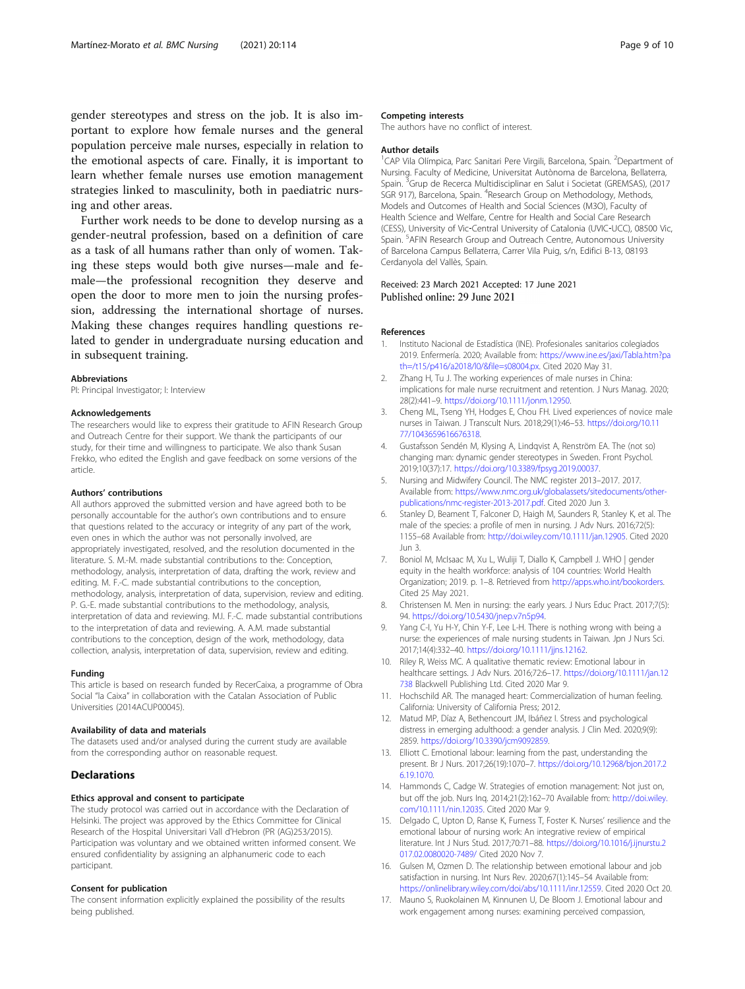<span id="page-8-0"></span>gender stereotypes and stress on the job. It is also important to explore how female nurses and the general population perceive male nurses, especially in relation to the emotional aspects of care. Finally, it is important to learn whether female nurses use emotion management strategies linked to masculinity, both in paediatric nursing and other areas.

Further work needs to be done to develop nursing as a gender-neutral profession, based on a definition of care as a task of all humans rather than only of women. Taking these steps would both give nurses—male and female—the professional recognition they deserve and open the door to more men to join the nursing profession, addressing the international shortage of nurses. Making these changes requires handling questions related to gender in undergraduate nursing education and in subsequent training.

#### Abbreviations

PI: Principal Investigator; I: Interview

#### Acknowledgements

The researchers would like to express their gratitude to AFIN Research Group and Outreach Centre for their support. We thank the participants of our study, for their time and willingness to participate. We also thank Susan Frekko, who edited the English and gave feedback on some versions of the article.

#### Authors' contributions

All authors approved the submitted version and have agreed both to be personally accountable for the author's own contributions and to ensure that questions related to the accuracy or integrity of any part of the work, even ones in which the author was not personally involved, are appropriately investigated, resolved, and the resolution documented in the literature. S. M.-M. made substantial contributions to the: Conception, methodology, analysis, interpretation of data, drafting the work, review and editing. M. F.-C. made substantial contributions to the conception, methodology, analysis, interpretation of data, supervision, review and editing. P. G.-E. made substantial contributions to the methodology, analysis, interpretation of data and reviewing. M.I. F.-C. made substantial contributions to the interpretation of data and reviewing. A. A.M. made substantial contributions to the conception, design of the work, methodology, data collection, analysis, interpretation of data, supervision, review and editing.

#### Funding

This article is based on research funded by RecerCaixa, a programme of Obra Social "la Caixa" in collaboration with the Catalan Association of Public Universities (2014ACUP00045).

#### Availability of data and materials

The datasets used and/or analysed during the current study are available from the corresponding author on reasonable request.

#### **Declarations**

#### Ethics approval and consent to participate

The study protocol was carried out in accordance with the Declaration of Helsinki. The project was approved by the Ethics Committee for Clinical Research of the Hospital Universitari Vall d'Hebron (PR (AG)253/2015). Participation was voluntary and we obtained written informed consent. We ensured confidentiality by assigning an alphanumeric code to each participant.

#### Consent for publication

The consent information explicitly explained the possibility of the results being published.

#### Competing interests

The authors have no conflict of interest.

#### Author details

<sup>1</sup>CAP Vila Olímpica, Parc Sanitari Pere Virgili, Barcelona, Spain. <sup>2</sup>Department of Nursing. Faculty of Medicine, Universitat Autònoma de Barcelona, Bellaterra, Spain.<sup>3</sup> Grup de Recerca Multidisciplinar en Salut i Societat (GREMSAS), (2017 SGR 917), Barcelona, Spain. <sup>4</sup>Research Group on Methodology, Methods Models and Outcomes of Health and Social Sciences (M3O), Faculty of Health Science and Welfare, Centre for Health and Social Care Research (CESS), University of Vic‐Central University of Catalonia (UVIC‐UCC), 08500 Vic, Spain. <sup>5</sup> AFIN Research Group and Outreach Centre, Autonomous University of Barcelona Campus Bellaterra, Carrer Vila Puig, s/n, Edifici B-13, 08193 Cerdanyola del Vallès, Spain.

## Received: 23 March 2021 Accepted: 17 June 2021 Published online: 29 June 2021

#### References

- 1. Instituto Nacional de Estadística (INE). Profesionales sanitarios colegiados 2019. Enfermería. 2020; Available from: [https://www.ine.es/jaxi/Tabla.htm?pa](https://www.ine.es/jaxi/Tabla.htm?path=/t15/p416/a2018/l0/&file=s08004.px) [th=/t15/p416/a2018/l0/&file=s08004.px](https://www.ine.es/jaxi/Tabla.htm?path=/t15/p416/a2018/l0/&file=s08004.px). Cited 2020 May 31.
- 2. Zhang H, Tu J. The working experiences of male nurses in China: implications for male nurse recruitment and retention. J Nurs Manag. 2020; 28(2):441–9. [https://doi.org/10.1111/jonm.12950.](https://doi.org/10.1111/jonm.12950)
- 3. Cheng ML, Tseng YH, Hodges E, Chou FH. Lived experiences of novice male nurses in Taiwan. J Transcult Nurs. 2018;29(1):46–53. [https://doi.org/10.11](https://doi.org/10.1177/1043659616676318) [77/1043659616676318.](https://doi.org/10.1177/1043659616676318)
- 4. Gustafsson Sendén M, Klysing A, Lindqvist A, Renström EA. The (not so) changing man: dynamic gender stereotypes in Sweden. Front Psychol. 2019;10(37):17. [https://doi.org/10.3389/fpsyg.2019.00037.](https://doi.org/10.3389/fpsyg.2019.00037)
- 5. Nursing and Midwifery Council. The NMC register 2013–2017. 2017. Available from: [https://www.nmc.org.uk/globalassets/sitedocuments/other](https://www.nmc.org.uk/globalassets/sitedocuments/other-publications/nmc-register-2013-2017.pdf)[publications/nmc-register-2013-2017.pdf.](https://www.nmc.org.uk/globalassets/sitedocuments/other-publications/nmc-register-2013-2017.pdf) Cited 2020 Jun 3.
- 6. Stanley D, Beament T, Falconer D, Haigh M, Saunders R, Stanley K, et al. The male of the species: a profile of men in nursing. J Adv Nurs. 2016;72(5): 1155–68 Available from: [http://doi.wiley.com/10.1111/jan.12905](http://dx.doi.org/10.1111/jan.12905). Cited 2020 Jun 3.
- 7. Boniol M, McIsaac M, Xu L, Wuliji T, Diallo K, Campbell J. WHO | gender equity in the health workforce: analysis of 104 countries: World Health Organization; 2019. p. 1–8. Retrieved from <http://apps.who.int/bookorders>. Cited 25 May 2021.
- 8. Christensen M. Men in nursing: the early years. J Nurs Educ Pract. 2017;7(5): 94. <https://doi.org/10.5430/jnep.v7n5p94>.
- 9. Yang C-I, Yu H-Y, Chin Y-F, Lee L-H. There is nothing wrong with being a nurse: the experiences of male nursing students in Taiwan. Jpn J Nurs Sci. 2017;14(4):332–40. <https://doi.org/10.1111/jjns.12162>.
- 10. Riley R, Weiss MC. A qualitative thematic review: Emotional labour in healthcare settings. J Adv Nurs. 2016;72:6–17. [https://doi.org/10.1111/jan.12](https://doi.org/10.1111/jan.12738) [738](https://doi.org/10.1111/jan.12738) Blackwell Publishing Ltd. Cited 2020 Mar 9.
- 11. Hochschild AR. The managed heart: Commercialization of human feeling. California: University of California Press; 2012.
- 12. Matud MP, Díaz A, Bethencourt JM, Ibáñez I. Stress and psychological distress in emerging adulthood: a gender analysis. J Clin Med. 2020;9(9): 2859. <https://doi.org/10.3390/jcm9092859>.
- 13. Elliott C. Emotional labour: learning from the past, understanding the present. Br J Nurs. 2017;26(19):1070–7. [https://doi.org/10.12968/bjon.2017.2](https://doi.org/10.12968/bjon.2017.26.19.1070) [6.19.1070.](https://doi.org/10.12968/bjon.2017.26.19.1070)
- 14. Hammonds C, Cadge W. Strategies of emotion management: Not just on, but off the job. Nurs Inq. 2014;21(2):162–70 Available from: [http://doi.wiley.](http://dx.doi.org/10.1111/nin.12035) [com/10.1111/nin.12035](http://dx.doi.org/10.1111/nin.12035). Cited 2020 Mar 9.
- 15. Delgado C, Upton D, Ranse K, Furness T, Foster K. Nurses' resilience and the emotional labour of nursing work: An integrative review of empirical literature. Int J Nurs Stud. 2017;70:71–88. [https://doi.org/10.1016/j.ijnurstu.2](https://doi.org/10.1016/j.ijnurstu.2017.02.0080020-7489/) [017.02.0080020-7489/](https://doi.org/10.1016/j.ijnurstu.2017.02.0080020-7489/) Cited 2020 Nov 7.
- 16. Gulsen M, Ozmen D. The relationship between emotional labour and job satisfaction in nursing. Int Nurs Rev. 2020;67(1):145–54 Available from: [https://onlinelibrary.wiley.com/doi/abs/10.1111/inr.12559.](http://dx.doi.org/10.1111/inr.12559) Cited 2020 Oct 20.
- 17. Mauno S, Ruokolainen M, Kinnunen U, De Bloom J. Emotional labour and work engagement among nurses: examining perceived compassion,